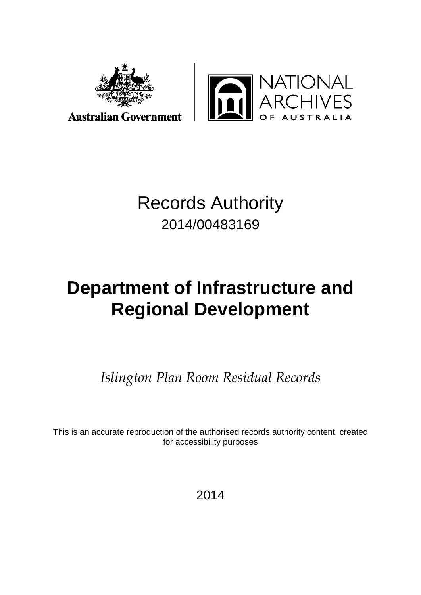



## Records Authority 2014/00483169

# **Department of Infrastructure and Regional Development**

*Islington Plan Room Residual Records*

This is an accurate reproduction of the authorised records authority content, created for accessibility purposes

2014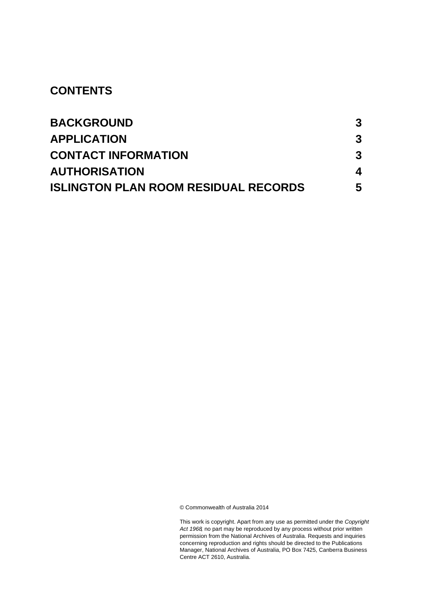#### **CONTENTS**

| <b>BACKGROUND</b>                           | 3 |
|---------------------------------------------|---|
| <b>APPLICATION</b>                          | 3 |
| <b>CONTACT INFORMATION</b>                  | 3 |
| <b>AUTHORISATION</b>                        | 4 |
| <b>ISLINGTON PLAN ROOM RESIDUAL RECORDS</b> | 5 |

© Commonwealth of Australia 2014

This work is copyright. Apart from any use as permitted under the *Copyright Act 1968,* no part may be reproduced by any process without prior written permission from the National Archives of Australia. Requests and inquiries concerning reproduction and rights should be directed to the Publications Manager, National Archives of Australia, PO Box 7425, Canberra Business Centre ACT 2610, Australia.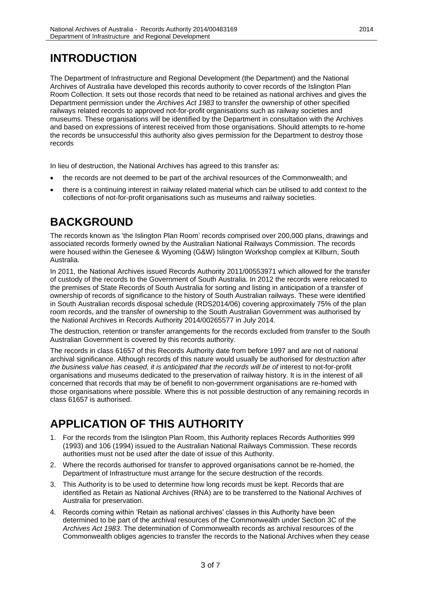#### **INTRODUCTION**

The Department of Infrastructure and Regional Development (the Department) and the National Archives of Australia have developed this records authority to cover records of the Islington Plan Room Collection. It sets out those records that need to be retained as national archives and gives the Department permission under the *Archives Act 1983* to transfer the ownership of other specified railways related records to approved not-for-profit organisations such as railway societies and museums. These organisations will be identified by the Department in consultation with the Archives and based on expressions of interest received from those organisations. Should attempts to re-home the records be unsuccessful this authority also gives permission for the Department to destroy those records

In lieu of destruction, the National Archives has agreed to this transfer as:

- the records are not deemed to be part of the archival resources of the Commonwealth; and
- there is a continuing interest in railway related material which can be utilised to add context to the collections of not-for-profit organisations such as museums and railway societies.

#### <span id="page-2-0"></span>**BACKGROUND**

The records known as 'the Islington Plan Room' records comprised over 200,000 plans, drawings and associated records formerly owned by the Australian National Railways Commission. The records were housed within the Genesee & Wyoming (G&W) Islington Workshop complex at Kilburn, South Australia.

In 2011, the National Archives issued Records Authority 2011/00553971 which allowed for the transfer of custody of the records to the Government of South Australia. In 2012 the records were relocated to the premises of State Records of South Australia for sorting and listing in anticipation of a transfer of ownership of records of significance to the history of South Australian railways. These were identified in South Australian records disposal schedule (RDS2014/06) covering approximately 75% of the plan room records, and the transfer of ownership to the South Australian Government was authorised by the National Archives in Records Authority 2014/00265577 in July 2014.

The destruction, retention or transfer arrangements for the records excluded from transfer to the South Australian Government is covered by this records authority.

<span id="page-2-1"></span>The records in class 61657 of this Records Authority date from before 1997 and are not of national archival significance. Although records of this nature would usually be authorised for *destruction after the business value has ceased, it is anticipated that the records will be of* interest to not-for-profit organisations and museums dedicated to the preservation of railway history. It is in the interest of all concerned that records that may be of benefit to non-government organisations are re-homed with those organisations where possible. Where this is not possible destruction of any remaining records in class 61657 is authorised.

#### <span id="page-2-2"></span>**APPLICATION OF THIS AUTHORITY**

- 1. For the records from the Islington Plan Room, this Authority replaces Records Authorities 999 (1993) and 106 (1994) issued to the Australian National Railways Commission. These records authorities must not be used after the date of issue of this Authority.
- 2. Where the records authorised for transfer to approved organisations cannot be re-homed, the Department of Infrastructure must arrange for the secure destruction of the records.
- 3. This Authority is to be used to determine how long records must be kept. Records that are identified as Retain as National Archives (RNA) are to be transferred to the National Archives of Australia for preservation.
- 4. Records coming within 'Retain as national archives' classes in this Authority have been determined to be part of the archival resources of the Commonwealth under Section 3C of the *Archives Act 1983*. The determination of Commonwealth records as archival resources of the Commonwealth obliges agencies to transfer the records to the National Archives when they cease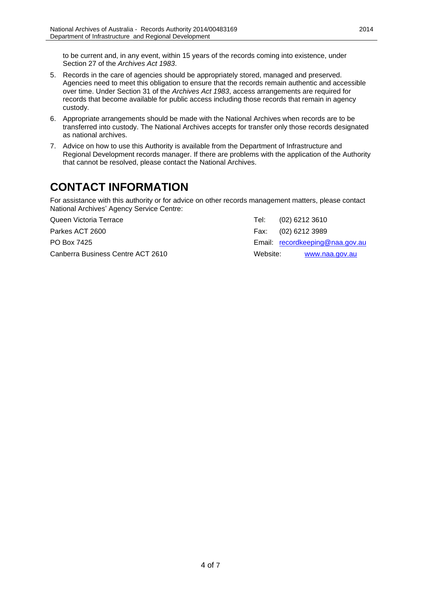to be current and, in any event, within 15 years of the records coming into existence, under Section 27 of the *Archives Act 1983*.

- 5. Records in the care of agencies should be appropriately stored, managed and preserved. Agencies need to meet this obligation to ensure that the records remain authentic and accessible over time. Under Section 31 of the *Archives Act 1983*, access arrangements are required for records that become available for public access including those records that remain in agency custody.
- 6. Appropriate arrangements should be made with the National Archives when records are to be transferred into custody. The National Archives accepts for transfer only those records designated as national archives.
- 7. Advice on how to use this Authority is available from the Department of Infrastructure and Regional Development records manager. If there are problems with the application of the Authority that cannot be resolved, please contact the National Archives.

#### **CONTACT INFORMATION**

For assistance with this authority or for advice on other records management matters, please contact National Archives' Agency Service Centre:

Queen Victoria Terrace Tel: (02) 6212 3610

Canberra Business Centre ACT 2610 Website: [www.naa.gov.au](http://www.naa.gov.au/)

Parkes ACT 2600 Fax: (02) 6212 3989 PO Box 7425 **Email:** [recordkeeping@naa.gov.au](mailto:recordkeeping@naa.gov.au) **Email:** recordkeeping@naa.gov.au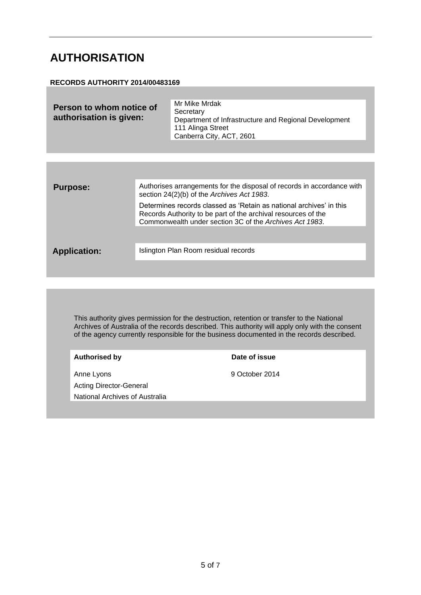#### <span id="page-4-0"></span>**AUTHORISATION**

#### **RECORDS AUTHORITY 2014/00483169**

| Person to whom notice of<br>authorisation is given: | Mr Mike Mrdak<br>Secretary<br>Department of Infrastructure and Regional Development<br>111 Alinga Street<br>Canberra City, ACT, 2601 |
|-----------------------------------------------------|--------------------------------------------------------------------------------------------------------------------------------------|
|                                                     |                                                                                                                                      |

| <b>Purpose:</b>     | Authorises arrangements for the disposal of records in accordance with<br>section 24(2)(b) of the Archives Act 1983.                                                                            |
|---------------------|-------------------------------------------------------------------------------------------------------------------------------------------------------------------------------------------------|
|                     | Determines records classed as 'Retain as national archives' in this<br>Records Authority to be part of the archival resources of the<br>Commonwealth under section 3C of the Archives Act 1983. |
|                     |                                                                                                                                                                                                 |
| <b>Application:</b> | Islington Plan Room residual records                                                                                                                                                            |
|                     |                                                                                                                                                                                                 |

This authority gives permission for the destruction, retention or transfer to the National Archives of Australia of the records described. This authority will apply only with the consent of the agency currently responsible for the business documented in the records described.

| 9 October 2014<br>Anne Lyons          |  |
|---------------------------------------|--|
| <b>Acting Director-General</b>        |  |
| <b>National Archives of Australia</b> |  |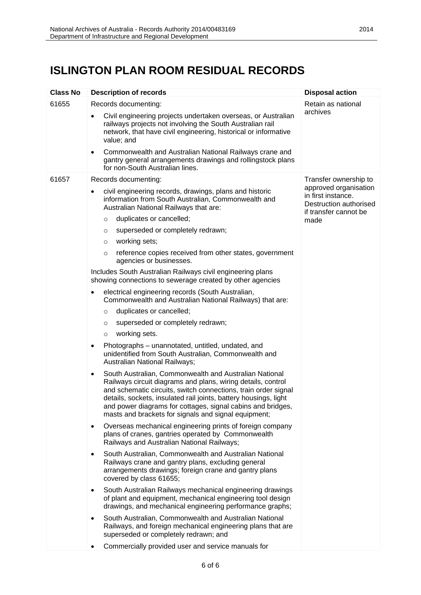### <span id="page-5-0"></span>**ISLINGTON PLAN ROOM RESIDUAL RECORDS**

| <b>Class No</b> | <b>Description of records</b>                                                                                                                                                                                                                                                                                                                                                                    | <b>Disposal action</b>                                                |
|-----------------|--------------------------------------------------------------------------------------------------------------------------------------------------------------------------------------------------------------------------------------------------------------------------------------------------------------------------------------------------------------------------------------------------|-----------------------------------------------------------------------|
| 61655           | Records documenting:                                                                                                                                                                                                                                                                                                                                                                             | Retain as national                                                    |
|                 | Civil engineering projects undertaken overseas, or Australian<br>railways projects not involving the South Australian rail<br>network, that have civil engineering, historical or informative<br>value; and                                                                                                                                                                                      | archives                                                              |
|                 | Commonwealth and Australian National Railways crane and<br>$\bullet$<br>gantry general arrangements drawings and rollingstock plans<br>for non-South Australian lines.                                                                                                                                                                                                                           |                                                                       |
| 61657           | Records documenting:                                                                                                                                                                                                                                                                                                                                                                             | Transfer ownership to                                                 |
|                 | civil engineering records, drawings, plans and historic<br>٠<br>information from South Australian, Commonwealth and<br>Australian National Railways that are:                                                                                                                                                                                                                                    | approved organisation<br>in first instance.<br>Destruction authorised |
|                 | duplicates or cancelled;<br>$\circ$                                                                                                                                                                                                                                                                                                                                                              | if transfer cannot be<br>made                                         |
|                 | superseded or completely redrawn;<br>$\circ$                                                                                                                                                                                                                                                                                                                                                     |                                                                       |
|                 | working sets;<br>$\circ$                                                                                                                                                                                                                                                                                                                                                                         |                                                                       |
|                 | reference copies received from other states, government<br>$\circ$<br>agencies or businesses.                                                                                                                                                                                                                                                                                                    |                                                                       |
|                 | Includes South Australian Railways civil engineering plans<br>showing connections to sewerage created by other agencies                                                                                                                                                                                                                                                                          |                                                                       |
|                 | electrical engineering records (South Australian,<br>٠<br>Commonwealth and Australian National Railways) that are:                                                                                                                                                                                                                                                                               |                                                                       |
|                 | duplicates or cancelled;<br>$\circ$                                                                                                                                                                                                                                                                                                                                                              |                                                                       |
|                 | superseded or completely redrawn;<br>$\circ$                                                                                                                                                                                                                                                                                                                                                     |                                                                       |
|                 | working sets.<br>$\circ$                                                                                                                                                                                                                                                                                                                                                                         |                                                                       |
|                 | Photographs - unannotated, untitled, undated, and<br>$\bullet$<br>unidentified from South Australian, Commonwealth and<br>Australian National Railways;                                                                                                                                                                                                                                          |                                                                       |
|                 | South Australian, Commonwealth and Australian National<br>$\bullet$<br>Railways circuit diagrams and plans, wiring details, control<br>and schematic circuits, switch connections, train order signal<br>details, sockets, insulated rail joints, battery housings, light<br>and power diagrams for cottages, signal cabins and bridges,<br>masts and brackets for signals and signal equipment; |                                                                       |
|                 | Overseas mechanical engineering prints of foreign company<br>$\bullet$<br>plans of cranes, gantries operated by Commonwealth<br>Railways and Australian National Railways;                                                                                                                                                                                                                       |                                                                       |
|                 | South Australian, Commonwealth and Australian National<br>$\bullet$<br>Railways crane and gantry plans, excluding general<br>arrangements drawings; foreign crane and gantry plans<br>covered by class 61655;                                                                                                                                                                                    |                                                                       |
|                 | South Australian Railways mechanical engineering drawings<br>$\bullet$<br>of plant and equipment, mechanical engineering tool design<br>drawings, and mechanical engineering performance graphs;                                                                                                                                                                                                 |                                                                       |
|                 | South Australian, Commonwealth and Australian National<br>Railways, and foreign mechanical engineering plans that are<br>superseded or completely redrawn; and                                                                                                                                                                                                                                   |                                                                       |
|                 |                                                                                                                                                                                                                                                                                                                                                                                                  |                                                                       |